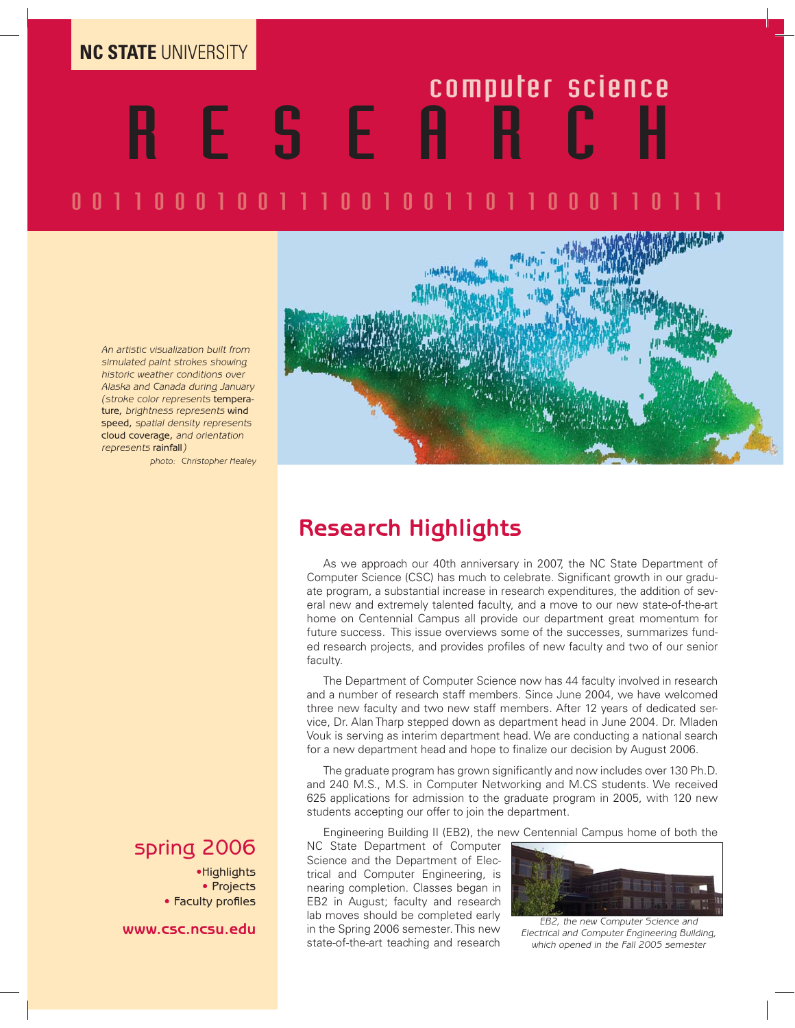**NC STATE** UNIVERSITY

# RESEARCH computer science

# 001100011100100110110001

An artistic visualization built from simulated paint strokes showing historic weather conditions over Alaska and Canada during January (stroke color represents temperature, brightness represents wind speed, spatial density represents cloud coverage, and orientation represents rainfall)

photo: Christopher Healey

#### spring 2006

•Highlights • Projects • Faculty profiles

**www.csc.ncsu.edu**



#### **Research Highlights**

As we approach our 40th anniversary in 2007, the NC State Department of Computer Science (CSC) has much to celebrate. Significant growth in our graduate program, a substantial increase in research expenditures, the addition of several new and extremely talented faculty, and a move to our new state-of-the-art home on Centennial Campus all provide our department great momentum for future success. This issue overviews some of the successes, summarizes funded research projects, and provides profiles of new faculty and two of our senior faculty.

The Department of Computer Science now has 44 faculty involved in research and a number of research staff members. Since June 2004, we have welcomed three new faculty and two new staff members. After 12 years of dedicated service, Dr. Alan Tharp stepped down as department head in June 2004. Dr. Mladen Vouk is serving as interim department head. We are conducting a national search for a new department head and hope to finalize our decision by August 2006.

The graduate program has grown significantly and now includes over 130 Ph.D. and 240 M.S., M.S. in Computer Networking and M.CS students. We received 625 applications for admission to the graduate program in 2005, with 120 new students accepting our offer to join the department.

Engineering Building II (EB2), the new Centennial Campus home of both the

NC State Department of Computer Science and the Department of Electrical and Computer Engineering, is nearing completion. Classes began in EB2 in August; faculty and research lab moves should be completed early in the Spring 2006 semester. This new state-of-the-art teaching and research



EB2, the new Computer Science and Electrical and Computer Engineering Building, which opened in the Fall 2005 semester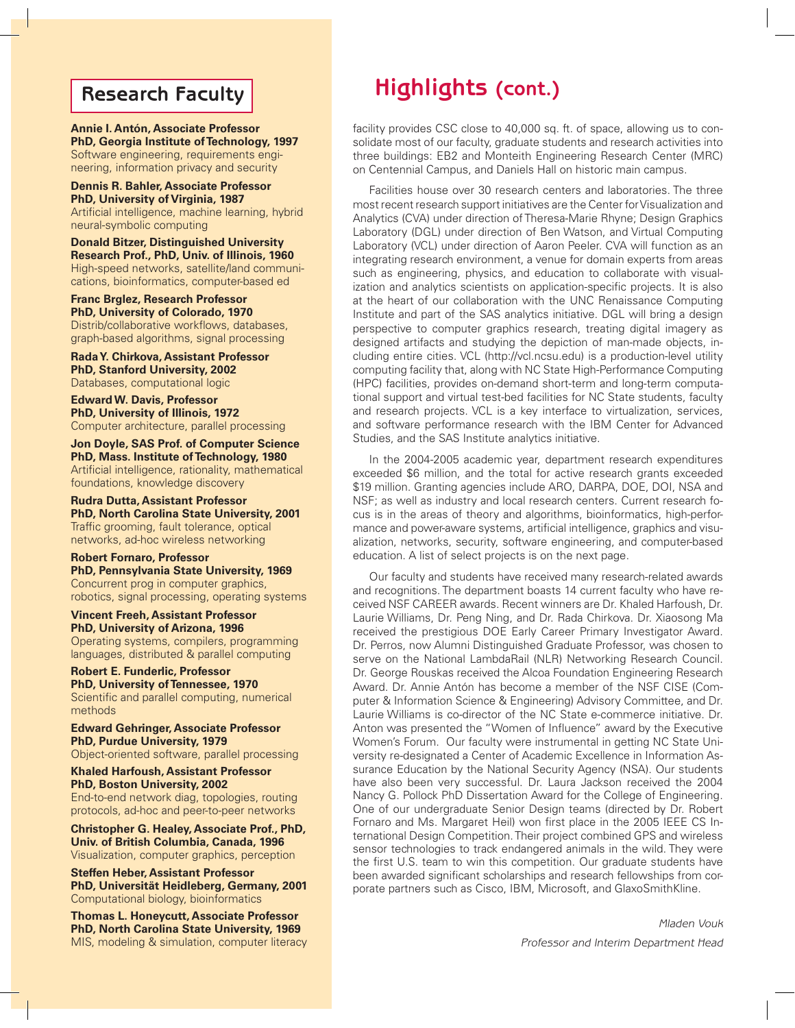#### **Research Faculty**

**Annie I. Antón, Associate Professor PhD, Georgia Institute of Technology, 1997** Software engineering, requirements engineering, information privacy and security

**Dennis R. Bahler, Associate Professor PhD, University of Virginia, 1987** Artificial intelligence, machine learning, hybrid neural-symbolic computing

**Donald Bitzer, Distinguished University Research Prof., PhD, Univ. of Illinois, 1960** High-speed networks, satellite/land communications, bioinformatics, computer-based ed

**Franc Brglez, Research Professor PhD, University of Colorado, 1970** Distrib/collaborative workflows, databases, graph-based algorithms, signal processing

**Rada Y. Chirkova, Assistant Professor PhD, Stanford University, 2002** Databases, computational logic

**Edward W. Davis, Professor PhD, University of Illinois, 1972** Computer architecture, parallel processing

**Jon Doyle, SAS Prof. of Computer Science PhD, Mass. Institute of Technology, 1980** Artificial intelligence, rationality, mathematical foundations, knowledge discovery

**Rudra Dutta, Assistant Professor PhD, North Carolina State University, 2001** Traffic grooming, fault tolerance, optical networks, ad-hoc wireless networking

**Robert Fornaro, Professor PhD, Pennsylvania State University, 1969** Concurrent prog in computer graphics, robotics, signal processing, operating systems

**Vincent Freeh, Assistant Professor PhD, University of Arizona, 1996** Operating systems, compilers, programming languages, distributed & parallel computing

**Robert E. Funderlic, Professor PhD, University of Tennessee, 1970** Scientific and parallel computing, numerical methods

**Edward Gehringer, Associate Professor PhD, Purdue University, 1979** Object-oriented software, parallel processing

**Khaled Harfoush, Assistant Professor PhD, Boston University, 2002** End-to-end network diag, topologies, routing

protocols, ad-hoc and peer-to-peer networks

**Christopher G. Healey, Associate Prof., PhD, Univ. of British Columbia, Canada, 1996** Visualization, computer graphics, perception

**Steffen Heber, Assistant Professor PhD, Universität Heidleberg, Germany, 2001** Computational biology, bioinformatics

**Thomas L. Honeycutt, Associate Professor PhD, North Carolina State University, 1969** MIS, modeling & simulation, computer literacy

# **Highlights (cont.)**

facility provides CSC close to 40,000 sq. ft. of space, allowing us to consolidate most of our faculty, graduate students and research activities into three buildings: EB2 and Monteith Engineering Research Center (MRC) on Centennial Campus, and Daniels Hall on historic main campus.

Facilities house over 30 research centers and laboratories. The three most recent research support initiatives are the Center for Visualization and Analytics (CVA) under direction of Theresa-Marie Rhyne; Design Graphics Laboratory (DGL) under direction of Ben Watson, and Virtual Computing Laboratory (VCL) under direction of Aaron Peeler. CVA will function as an integrating research environment, a venue for domain experts from areas such as engineering, physics, and education to collaborate with visualization and analytics scientists on application-specific projects. It is also at the heart of our collaboration with the UNC Renaissance Computing Institute and part of the SAS analytics initiative. DGL will bring a design perspective to computer graphics research, treating digital imagery as designed artifacts and studying the depiction of man-made objects, including entire cities. VCL (http://vcl.ncsu.edu) is a production-level utility computing facility that, along with NC State High-Performance Computing (HPC) facilities, provides on-demand short-term and long-term computational support and virtual test-bed facilities for NC State students, faculty and research projects. VCL is a key interface to virtualization, services, and software performance research with the IBM Center for Advanced Studies, and the SAS Institute analytics initiative.

In the 2004-2005 academic year, department research expenditures exceeded \$6 million, and the total for active research grants exceeded \$19 million. Granting agencies include ARO, DARPA, DOE, DOI, NSA and NSF; as well as industry and local research centers. Current research focus is in the areas of theory and algorithms, bioinformatics, high-performance and power-aware systems, artificial intelligence, graphics and visualization, networks, security, software engineering, and computer-based education. A list of select projects is on the next page.

Our faculty and students have received many research-related awards and recognitions. The department boasts 14 current faculty who have received NSF CAREER awards. Recent winners are Dr. Khaled Harfoush, Dr. Laurie Williams, Dr. Peng Ning, and Dr. Rada Chirkova. Dr. Xiaosong Ma received the prestigious DOE Early Career Primary Investigator Award. Dr. Perros, now Alumni Distinguished Graduate Professor, was chosen to serve on the National LambdaRail (NLR) Networking Research Council. Dr. George Rouskas received the Alcoa Foundation Engineering Research Award. Dr. Annie Antón has become a member of the NSF CISE (Computer & Information Science & Engineering) Advisory Committee, and Dr. Laurie Williams is co-director of the NC State e-commerce initiative. Dr. Anton was presented the "Women of Influence" award by the Executive Women's Forum. Our faculty were instrumental in getting NC State University re-designated a Center of Academic Excellence in Information Assurance Education by the National Security Agency (NSA). Our students have also been very successful. Dr. Laura Jackson received the 2004 Nancy G. Pollock PhD Dissertation Award for the College of Engineering. One of our undergraduate Senior Design teams (directed by Dr. Robert Fornaro and Ms. Margaret Heil) won first place in the 2005 IEEE CS International Design Competition. Their project combined GPS and wireless sensor technologies to track endangered animals in the wild. They were the first U.S. team to win this competition. Our graduate students have been awarded significant scholarships and research fellowships from corporate partners such as Cisco, IBM, Microsoft, and GlaxoSmithKline.

> Mladen Vouk Professor and Interim Department Head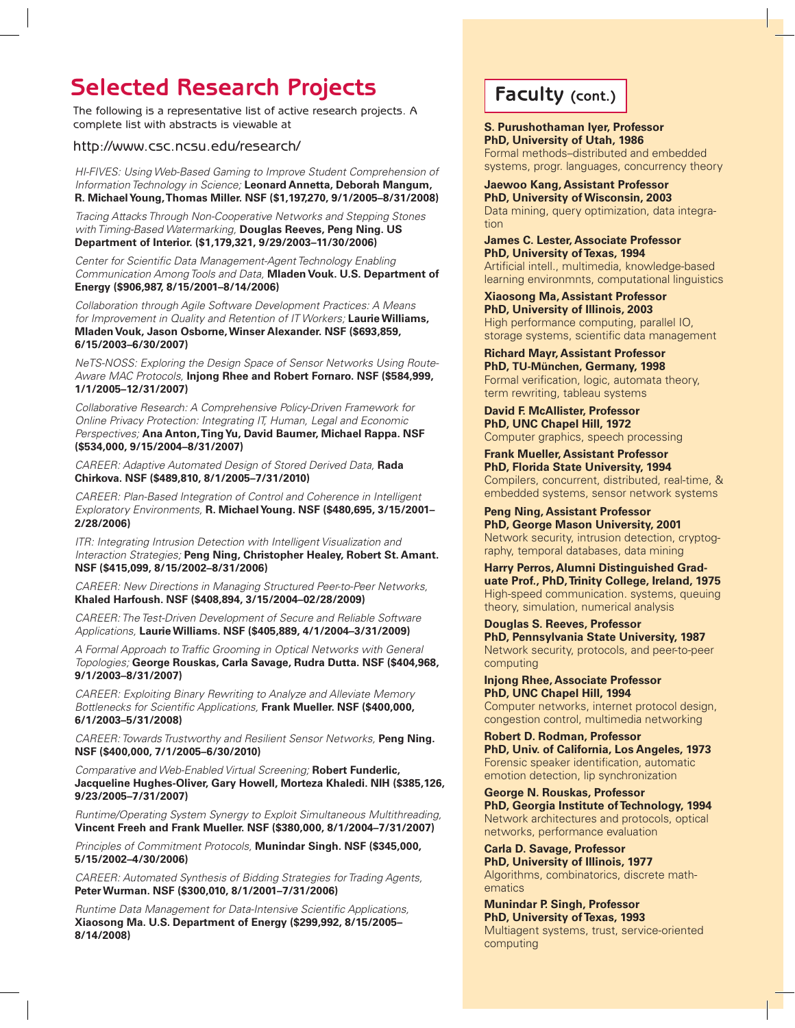# **Selected Research Projects Faculty (cont.)**

The following is a representative list of active research projects. A complete list with abstracts is viewable at

#### http://www.csc.ncsu.edu/research/

HI-FIVES: Using Web-Based Gaming to Improve Student Comprehension of Information Technology in Science; **Leonard Annetta, Deborah Mangum, R. Michael Young, Thomas Miller. NSF (\$1,197,270, 9/1/2005–8/31/2008)**

Tracing Attacks Through Non-Cooperative Networks and Stepping Stones with Timing-Based Watermarking, **Douglas Reeves, Peng Ning. US Department of Interior. (\$1,179,321, 9/29/2003–11/30/2006)** 

Center for Scientific Data Management-Agent Technology Enabling Communication Among Tools and Data, **Mladen Vouk. U.S. Department of Energy (\$906,987, 8/15/2001–8/14/2006)** 

Collaboration through Agile Software Development Practices: A Means for Improvement in Quality and Retention of IT Workers; **Laurie Williams, Mladen Vouk, Jason Osborne, Winser Alexander. NSF (\$693,859, 6/15/2003–6/30/2007)** 

NeTS-NOSS: Exploring the Design Space of Sensor Networks Using Route-Aware MAC Protocols, **Injong Rhee and Robert Fornaro. NSF (\$584,999, 1/1/2005–12/31/2007)** 

Collaborative Research: A Comprehensive Policy-Driven Framework for Online Privacy Protection: Integrating IT, Human, Legal and Economic Perspectives; **Ana Anton, Ting Yu, David Baumer, Michael Rappa. NSF (\$534,000, 9/15/2004–8/31/2007)** 

CAREER: Adaptive Automated Design of Stored Derived Data, **Rada Chirkova. NSF (\$489,810, 8/1/2005–7/31/2010)** 

CAREER: Plan-Based Integration of Control and Coherence in Intelligent Exploratory Environments, **R. Michael Young. NSF (\$480,695, 3/15/2001– 2/28/2006)** 

ITR: Integrating Intrusion Detection with Intelligent Visualization and Interaction Strategies; **Peng Ning, Christopher Healey, Robert St. Amant. NSF (\$415,099, 8/15/2002–8/31/2006)** 

CAREER: New Directions in Managing Structured Peer-to-Peer Networks, **Khaled Harfoush. NSF (\$408,894, 3/15/2004–02/28/2009)**

CAREER: The Test-Driven Development of Secure and Reliable Software Applications, **Laurie Williams. NSF (\$405,889, 4/1/2004–3/31/2009)** 

A Formal Approach to Traffic Grooming in Optical Networks with General Topologies; **George Rouskas, Carla Savage, Rudra Dutta. NSF (\$404,968, 9/1/2003–8/31/2007)** 

CAREER: Exploiting Binary Rewriting to Analyze and Alleviate Memory Bottlenecks for Scientific Applications, Frank Mueller. NSF (\$400,000, **6/1/2003–5/31/2008)** 

CAREER: Towards Trustworthy and Resilient Sensor Networks, **Peng Ning. NSF (\$400,000, 7/1/2005–6/30/2010)** 

Comparative and Web-Enabled Virtual Screening; **Robert Funderlic, Jacqueline Hughes-Oliver, Gary Howell, Morteza Khaledi. NIH (\$385,126, 9/23/2005–7/31/2007)** 

Runtime/Operating System Synergy to Exploit Simultaneous Multithreading, **Vincent Freeh and Frank Mueller. NSF (\$380,000, 8/1/2004–7/31/2007)** 

Principles of Commitment Protocols, **Munindar Singh. NSF (\$345,000, 5/15/2002–4/30/2006)** 

CAREER: Automated Synthesis of Bidding Strategies for Trading Agents, **Peter Wurman. NSF (\$300,010, 8/1/2001–7/31/2006)** 

Runtime Data Management for Data-Intensive Scientific Applications, **Xiaosong Ma. U.S. Department of Energy (\$299,992, 8/15/2005– 8/14/2008)**

**S. Purushothaman Iyer, Professor PhD, University of Utah, 1986** Formal methods–distributed and embedded

systems, progr. languages, concurrency theory

**Jaewoo Kang, Assistant Professor PhD, University of Wisconsin, 2003** Data mining, query optimization, data integration

**James C. Lester, Associate Professor PhD, University of Texas, 1994** Artificial intell., multimedia, knowledge-based learning environmnts, computational linguistics

**Xiaosong Ma, Assistant Professor PhD, University of Illinois, 2003** High performance computing, parallel IO, storage systems, scientific data management

**Richard Mayr, Assistant Professor PhD, TU-München, Germany, 1998** Formal verification, logic, automata theory, term rewriting, tableau systems

**David F. McAllister, Professor PhD, UNC Chapel Hill, 1972** Computer graphics, speech processing

**Frank Mueller, Assistant Professor PhD, Florida State University, 1994** Compilers, concurrent, distributed, real-time, & embedded systems, sensor network systems

**Peng Ning, Assistant Professor PhD, George Mason University, 2001** Network security, intrusion detection, cryptography, temporal databases, data mining

**Harry Perros, Alumni Distinguished Graduate Prof., PhD, Trinity College, Ireland, 1975** High-speed communication. systems, queuing theory, simulation, numerical analysis

**Douglas S. Reeves, Professor PhD, Pennsylvania State University, 1987** Network security, protocols, and peer-to-peer computing

**Injong Rhee, Associate Professor PhD, UNC Chapel Hill, 1994** Computer networks, internet protocol design, congestion control, multimedia networking

**Robert D. Rodman, Professor PhD, Univ. of California, Los Angeles, 1973** Forensic speaker identification, automatic emotion detection, lip synchronization

**George N. Rouskas, Professor PhD, Georgia Institute of Technology, 1994** Network architectures and protocols, optical networks, performance evaluation

**Carla D. Savage, Professor PhD, University of Illinois, 1977** Algorithms, combinatorics, discrete mathematics

**Munindar P. Singh, Professor PhD, University of Texas, 1993** Multiagent systems, trust, service-oriented computing